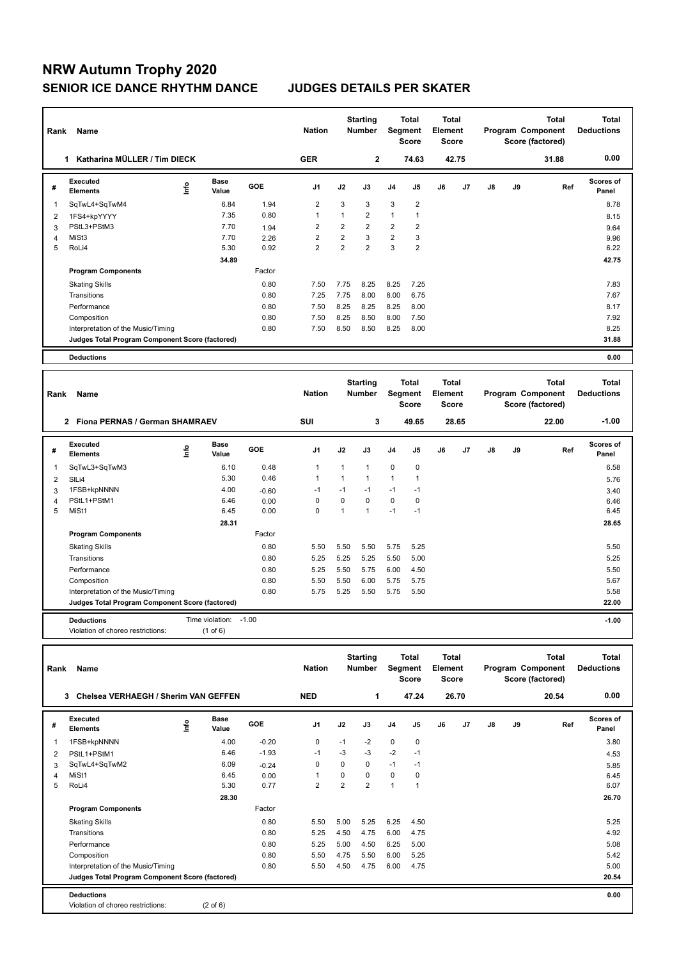## **NRW Autumn Trophy 2020 SENIOR ICE DANCE RHYTHM DANCE JUDGES DETAILS PER SKATER**

| Rank           | Name                                              |                          |                       |              | <b>Nation</b>                    |                | <b>Starting</b><br><b>Number</b>        | Segment        | <b>Total</b><br><b>Score</b>            | Total<br>Element<br><b>Score</b> |       |               |    | Total<br>Program Component<br>Score (factored)        | <b>Deductions</b>         | <b>Total</b> |
|----------------|---------------------------------------------------|--------------------------|-----------------------|--------------|----------------------------------|----------------|-----------------------------------------|----------------|-----------------------------------------|----------------------------------|-------|---------------|----|-------------------------------------------------------|---------------------------|--------------|
|                | 1 Katharina MÜLLER / Tim DIECK                    |                          |                       |              | <b>GER</b>                       |                | $\mathbf{2}$                            |                | 74.63                                   |                                  | 42.75 |               |    | 31.88                                                 |                           | 0.00         |
| #              | Executed<br><b>Elements</b>                       | $\mathop{\mathsf{Info}}$ | <b>Base</b><br>Value  | GOE          | J1                               | J2             | J3                                      | J4             | J5                                      | J6                               | J7    | J8            | J9 | Ref                                                   | <b>Scores of</b><br>Panel |              |
| $\mathbf{1}$   | SqTwL4+SqTwM4                                     |                          | 6.84                  | 1.94         | $\overline{2}$                   | 3              | 3                                       | 3              | $\overline{c}$                          |                                  |       |               |    |                                                       |                           | 8.78         |
| $\overline{2}$ | 1FS4+kpYYYY                                       |                          | 7.35                  | 0.80         | $\overline{1}$                   | $\mathbf{1}$   | $\overline{2}$                          | $\mathbf{1}$   | $\mathbf{1}$                            |                                  |       |               |    |                                                       |                           | 8.15         |
| 3              | PStL3+PStM3                                       |                          | 7.70                  | 1.94         | $\overline{2}$                   | $\overline{2}$ | $\overline{2}$                          | $\overline{2}$ | $\overline{2}$                          |                                  |       |               |    |                                                       |                           | 9.64         |
| 4              | MiSt3                                             |                          | 7.70                  | 2.26         | $\overline{2}$                   | $\overline{2}$ | 3                                       | $\overline{2}$ | 3                                       |                                  |       |               |    |                                                       |                           | 9.96         |
| 5              | RoLi4                                             |                          | 5.30                  | 0.92         | $\overline{2}$                   | $\overline{2}$ | $\overline{2}$                          | 3              | $\overline{2}$                          |                                  |       |               |    |                                                       |                           | 6.22         |
|                |                                                   |                          | 34.89                 |              |                                  |                |                                         |                |                                         |                                  |       |               |    |                                                       |                           | 42.75        |
|                | <b>Program Components</b>                         |                          |                       | Factor       |                                  |                |                                         |                |                                         |                                  |       |               |    |                                                       |                           |              |
|                | <b>Skating Skills</b>                             |                          |                       | 0.80         | 7.50                             | 7.75           | 8.25                                    | 8.25           | 7.25                                    |                                  |       |               |    |                                                       |                           | 7.83         |
|                | Transitions                                       |                          |                       | 0.80         | 7.25                             | 7.75           | 8.00                                    | 8.00           | 6.75                                    |                                  |       |               |    |                                                       |                           | 7.67         |
|                | Performance                                       |                          |                       | 0.80<br>0.80 | 7.50                             | 8.25<br>8.25   | 8.25                                    | 8.25<br>8.00   | 8.00<br>7.50                            |                                  |       |               |    |                                                       |                           | 8.17<br>7.92 |
|                | Composition<br>Interpretation of the Music/Timing |                          |                       | 0.80         | 7.50<br>7.50                     | 8.50           | 8.50<br>8.50                            | 8.25           | 8.00                                    |                                  |       |               |    |                                                       |                           | 8.25         |
|                | Judges Total Program Component Score (factored)   |                          |                       |              |                                  |                |                                         |                |                                         |                                  |       |               |    |                                                       |                           | 31.88        |
|                |                                                   |                          |                       |              |                                  |                |                                         |                |                                         |                                  |       |               |    |                                                       |                           |              |
|                | <b>Deductions</b>                                 |                          |                       |              |                                  |                |                                         |                |                                         |                                  |       |               |    |                                                       |                           | 0.00         |
|                | Rank<br>Name                                      |                          |                       |              | <b>Starting</b><br><b>Number</b> |                | <b>Total</b><br>Segment<br><b>Score</b> |                | <b>Total</b><br>Element<br><b>Score</b> |                                  |       |               |    |                                                       |                           |              |
|                |                                                   |                          |                       |              | <b>Nation</b>                    |                |                                         |                |                                         |                                  |       |               |    | <b>Total</b><br>Program Component<br>Score (factored) | <b>Deductions</b>         | <b>Total</b> |
|                | 2 Fiona PERNAS / German SHAMRAEV                  |                          |                       |              | <b>SUI</b>                       |                | 3                                       |                | 49.65                                   |                                  | 28.65 |               |    | 22.00                                                 |                           | $-1.00$      |
| #              | Executed<br><b>Elements</b>                       | Info                     | <b>Base</b><br>Value  | GOE          | J1                               | J2             | J3                                      | J <sub>4</sub> | J5                                      | J6                               | J7    | $\mathsf{J}8$ | J9 | Ref                                                   | <b>Scores of</b><br>Panel |              |
| $\mathbf{1}$   | SqTwL3+SqTwM3                                     |                          | 6.10                  | 0.48         | $\mathbf{1}$                     | $\mathbf{1}$   | 1                                       | $\mathbf 0$    | $\mathbf 0$                             |                                  |       |               |    |                                                       |                           | 6.58         |
| $\overline{2}$ | SIL <sub>i4</sub>                                 |                          | 5.30                  | 0.46         | $\mathbf{1}$                     | $\mathbf{1}$   | $\mathbf{1}$                            | $\mathbf{1}$   | $\mathbf{1}$                            |                                  |       |               |    |                                                       |                           | 5.76         |
| 3              | 1FSB+kpNNNN                                       |                          | 4.00                  | $-0.60$      | $-1$                             | $-1$           | $-1$                                    | $-1$           | $-1$                                    |                                  |       |               |    |                                                       |                           | 3.40         |
| $\overline{4}$ | PStL1+PStM1                                       |                          | 6.46                  | 0.00         | $\mathbf 0$                      | $\mathbf 0$    | $\mathbf 0$                             | $\mathbf 0$    | $\mathbf 0$                             |                                  |       |               |    |                                                       |                           | 6.46         |
| 5              | MiSt1                                             |                          | 6.45                  | 0.00         | $\Omega$                         | $\mathbf{1}$   | $\mathbf{1}$                            | $-1$           | $-1$                                    |                                  |       |               |    |                                                       |                           | 6.45         |
|                |                                                   |                          | 28.31                 |              |                                  |                |                                         |                |                                         |                                  |       |               |    |                                                       |                           | 28.65        |
|                | <b>Program Components</b>                         |                          |                       | Factor       |                                  |                |                                         |                |                                         |                                  |       |               |    |                                                       |                           |              |
|                | <b>Skating Skills</b>                             |                          |                       | 0.80         | 5.50                             | 5.50           | 5.50                                    | 5.75           | 5.25                                    |                                  |       |               |    |                                                       |                           | 5.50         |
|                | Transitions                                       |                          |                       | 0.80         | 5.25                             | 5.25           | 5.25                                    | 5.50           | 5.00                                    |                                  |       |               |    |                                                       |                           | 5.25         |
|                | Performance                                       |                          |                       | 0.80         | 5.25                             | 5.50           | 5.75                                    | 6.00           | 4.50                                    |                                  |       |               |    |                                                       |                           | 5.50         |
|                | Composition                                       |                          |                       | 0.80         | 5.50                             | 5.50           | 6.00                                    | 5.75           | 5.75                                    |                                  |       |               |    |                                                       |                           | 5.67         |
|                | Interpretation of the Music/Timing                |                          |                       | 0.80         | 5.75                             | 5.25           | 5.50                                    | 5.75           | 5.50                                    |                                  |       |               |    |                                                       |                           | 5.58         |
|                | Judges Total Program Component Score (factored)   |                          |                       |              |                                  |                |                                         |                |                                         |                                  |       |               |    |                                                       |                           | 22.00        |
|                | <b>Deductions</b>                                 |                          | Time violation: -1.00 |              |                                  |                |                                         |                |                                         |                                  |       |               |    |                                                       |                           | $-1.00$      |

| Rank | Name                                            |      |                      |            | <b>Nation</b>  |                | <b>Starting</b><br><b>Number</b> |              | Total<br>Segment<br><b>Score</b> | <b>Total</b><br>Element<br>Score |    |    | Program Component | <b>Total</b><br>Score (factored) | <b>Total</b><br><b>Deductions</b> |
|------|-------------------------------------------------|------|----------------------|------------|----------------|----------------|----------------------------------|--------------|----------------------------------|----------------------------------|----|----|-------------------|----------------------------------|-----------------------------------|
|      | Chelsea VERHAEGH / Sherim VAN GEFFEN<br>3       |      |                      | <b>NED</b> |                | 1              |                                  | 47.24        |                                  | 26.70                            |    |    | 20.54             | 0.00                             |                                   |
| #    | <b>Executed</b><br><b>Elements</b>              | lnfo | <b>Base</b><br>Value | <b>GOE</b> | J <sub>1</sub> | J2             | J3                               | J4           | J <sub>5</sub>                   | J6                               | J7 | J8 | J9                | Ref                              | <b>Scores of</b><br>Panel         |
| 1    | 1FSB+kpNNNN                                     |      | 4.00                 | $-0.20$    | 0              | $-1$           | $-2$                             | $\mathbf 0$  | 0                                |                                  |    |    |                   |                                  | 3.80                              |
| 2    | PStL1+PStM1                                     |      | 6.46                 | $-1.93$    | $-1$           | $-3$           | $-3$                             | $-2$         | $-1$                             |                                  |    |    |                   |                                  | 4.53                              |
| 3    | SqTwL4+SqTwM2                                   |      | 6.09                 | $-0.24$    | 0              | 0              | $\mathbf 0$                      | $-1$         | $-1$                             |                                  |    |    |                   |                                  | 5.85                              |
| 4    | MiSt1                                           |      | 6.45                 | 0.00       | 1              | 0              | 0                                | 0            | 0                                |                                  |    |    |                   |                                  | 6.45                              |
| 5    | RoLi4                                           |      | 5.30                 | 0.77       | $\overline{2}$ | $\overline{2}$ | $\overline{2}$                   | $\mathbf{1}$ | 1                                |                                  |    |    |                   |                                  | 6.07                              |
|      |                                                 |      | 28.30                |            |                |                |                                  |              |                                  |                                  |    |    |                   |                                  | 26.70                             |
|      | <b>Program Components</b>                       |      |                      | Factor     |                |                |                                  |              |                                  |                                  |    |    |                   |                                  |                                   |
|      | <b>Skating Skills</b>                           |      |                      | 0.80       | 5.50           | 5.00           | 5.25                             | 6.25         | 4.50                             |                                  |    |    |                   |                                  | 5.25                              |
|      | Transitions                                     |      |                      | 0.80       | 5.25           | 4.50           | 4.75                             | 6.00         | 4.75                             |                                  |    |    |                   |                                  | 4.92                              |
|      | Performance                                     |      |                      | 0.80       | 5.25           | 5.00           | 4.50                             | 6.25         | 5.00                             |                                  |    |    |                   |                                  | 5.08                              |
|      | Composition                                     |      |                      | 0.80       | 5.50           | 4.75           | 5.50                             | 6.00         | 5.25                             |                                  |    |    |                   |                                  | 5.42                              |
|      | Interpretation of the Music/Timing              |      |                      | 0.80       | 5.50           | 4.50           | 4.75                             | 6.00         | 4.75                             |                                  |    |    |                   |                                  | 5.00                              |
|      | Judges Total Program Component Score (factored) |      |                      |            |                |                |                                  |              |                                  |                                  |    |    |                   |                                  | 20.54                             |
|      | <b>Deductions</b>                               |      |                      |            |                |                |                                  |              |                                  |                                  |    |    |                   |                                  | 0.00                              |
|      | Violation of choreo restrictions:               |      | $(2 \text{ of } 6)$  |            |                |                |                                  |              |                                  |                                  |    |    |                   |                                  |                                   |